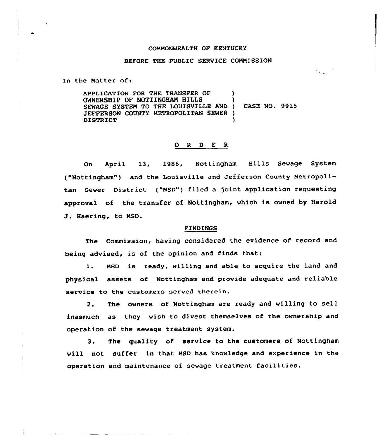## COMMONWEALTH OF KENTUCKY

## BEFORE THE PUBLIC SERVICE COMMISSION

In the Matter of:

APPLICATION FOR THE TRANSFER OF OWNERSHIP OF NOTTINGHAN HILLS SEWAGE SYSTEM TO THE LOUISVILLE AND JEFFERSON COUNTY METROPOLITAN SEWER ) DISTRICT ) ) ) CASE NQ. 9915 )

## 0 <sup>R</sup> <sup>D</sup> E <sup>R</sup>

On April 13, 1986, Nottingham Hills Sewage System ("Nottingham") and the Louisville and Jefferson County Metropolitan Sewer District ("MSD") filed a joint application requesting approval of the transfer of Nottingham, which is owned by Harold J. Haering, to MSD.

## FINDINGS

The Commission, having considered the evidence of record and being advised, is of the opinion and finds that:

1. MSD is ready, willing and able to acquire the land and physical assets of Nottingham and provide adequate and reliable service to the customers served therein.

2. The owners of Nottingham are ready and willing to sell inasmuch as they wish to divest themselves of the ownership and operation of the sewage treatment system.

3. The guality of service to the customers of Nottingham will not suffer in that MSD has knowledge and experience in the operation and maintenance of sewage treatment facilities.